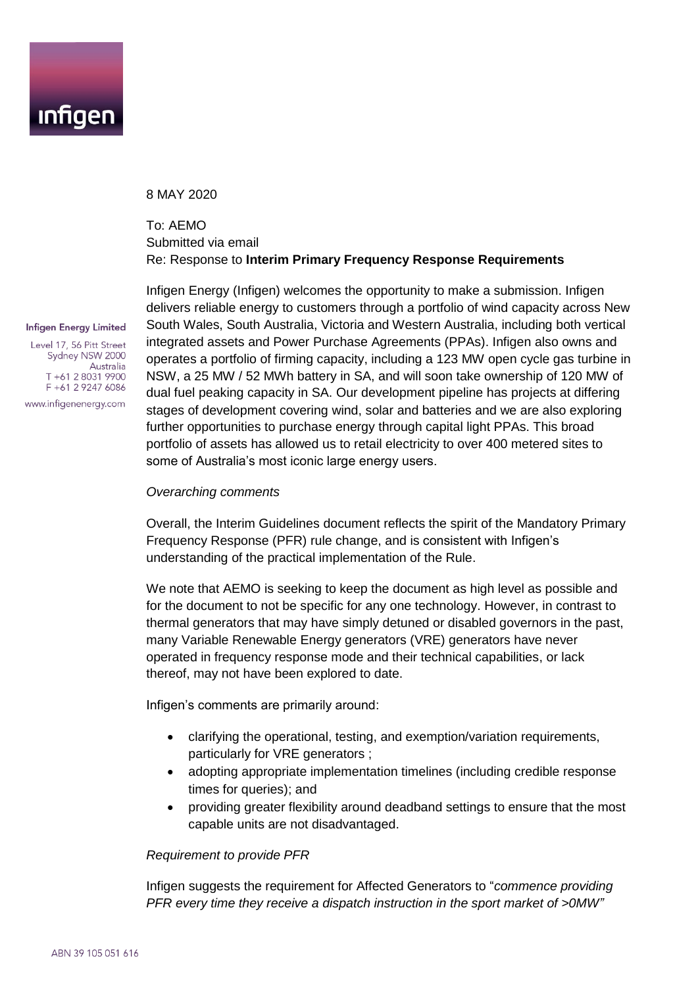

8 MAY 2020

# To: AEMO Submitted via email Re: Response to **Interim Primary Frequency Response Requirements**

#### **Infigen Energy Limited**

Level 17, 56 Pitt Street Sydney NSW 2000 Australia T +61 2 8031 9900 F +61 2 9247 6086

www.infigenenergy.com

Infigen Energy (Infigen) welcomes the opportunity to make a submission. Infigen delivers reliable energy to customers through a portfolio of wind capacity across New South Wales, South Australia, Victoria and Western Australia, including both vertical integrated assets and Power Purchase Agreements (PPAs). Infigen also owns and operates a portfolio of firming capacity, including a 123 MW open cycle gas turbine in NSW, a 25 MW / 52 MWh battery in SA, and will soon take ownership of 120 MW of dual fuel peaking capacity in SA. Our development pipeline has projects at differing stages of development covering wind, solar and batteries and we are also exploring further opportunities to purchase energy through capital light PPAs. This broad portfolio of assets has allowed us to retail electricity to over 400 metered sites to some of Australia's most iconic large energy users.

#### *Overarching comments*

Overall, the Interim Guidelines document reflects the spirit of the Mandatory Primary Frequency Response (PFR) rule change, and is consistent with Infigen's understanding of the practical implementation of the Rule.

We note that AEMO is seeking to keep the document as high level as possible and for the document to not be specific for any one technology. However, in contrast to thermal generators that may have simply detuned or disabled governors in the past, many Variable Renewable Energy generators (VRE) generators have never operated in frequency response mode and their technical capabilities, or lack thereof, may not have been explored to date.

Infigen's comments are primarily around:

- clarifying the operational, testing, and exemption/variation requirements, particularly for VRE generators ;
- adopting appropriate implementation timelines (including credible response times for queries); and
- providing greater flexibility around deadband settings to ensure that the most capable units are not disadvantaged.

#### *Requirement to provide PFR*

Infigen suggests the requirement for Affected Generators to "*commence providing PFR every time they receive a dispatch instruction in the sport market of >0MW"*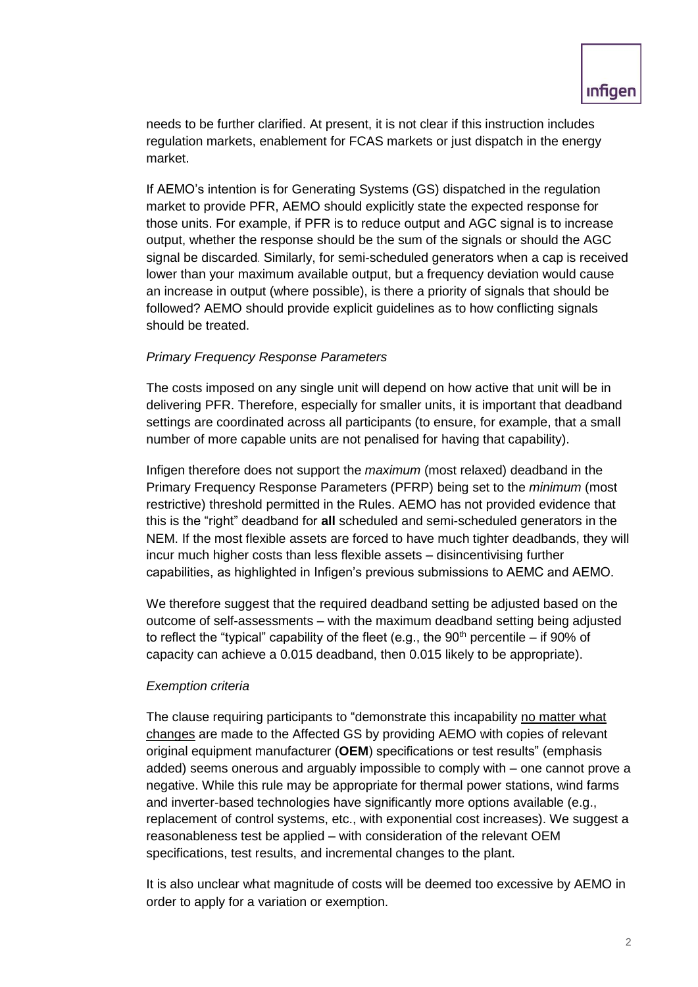needs to be further clarified. At present, it is not clear if this instruction includes regulation markets, enablement for FCAS markets or just dispatch in the energy market.

If AEMO's intention is for Generating Systems (GS) dispatched in the regulation market to provide PFR, AEMO should explicitly state the expected response for those units. For example, if PFR is to reduce output and AGC signal is to increase output, whether the response should be the sum of the signals or should the AGC signal be discarded. Similarly, for semi-scheduled generators when a cap is received lower than your maximum available output, but a frequency deviation would cause an increase in output (where possible), is there a priority of signals that should be followed? AEMO should provide explicit guidelines as to how conflicting signals should be treated.

## *Primary Frequency Response Parameters*

The costs imposed on any single unit will depend on how active that unit will be in delivering PFR. Therefore, especially for smaller units, it is important that deadband settings are coordinated across all participants (to ensure, for example, that a small number of more capable units are not penalised for having that capability).

Infigen therefore does not support the *maximum* (most relaxed) deadband in the Primary Frequency Response Parameters (PFRP) being set to the *minimum* (most restrictive) threshold permitted in the Rules. AEMO has not provided evidence that this is the "right" deadband for **all** scheduled and semi-scheduled generators in the NEM. If the most flexible assets are forced to have much tighter deadbands, they will incur much higher costs than less flexible assets – disincentivising further capabilities, as highlighted in Infigen's previous submissions to AEMC and AEMO.

We therefore suggest that the required deadband setting be adjusted based on the outcome of self-assessments – with the maximum deadband setting being adjusted to reflect the "typical" capability of the fleet (e.g., the  $90<sup>th</sup>$  percentile – if  $90<sup>th</sup>$  of capacity can achieve a 0.015 deadband, then 0.015 likely to be appropriate).

## *Exemption criteria*

The clause requiring participants to "demonstrate this incapability no matter what changes are made to the Affected GS by providing AEMO with copies of relevant original equipment manufacturer (**OEM**) specifications or test results" (emphasis added) seems onerous and arguably impossible to comply with – one cannot prove a negative. While this rule may be appropriate for thermal power stations, wind farms and inverter-based technologies have significantly more options available (e.g., replacement of control systems, etc., with exponential cost increases). We suggest a reasonableness test be applied – with consideration of the relevant OEM specifications, test results, and incremental changes to the plant.

It is also unclear what magnitude of costs will be deemed too excessive by AEMO in order to apply for a variation or exemption.